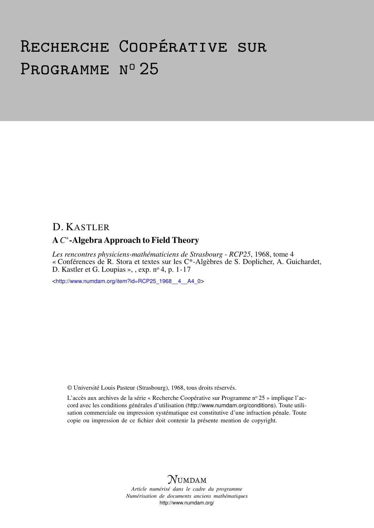# Recherche Coopérative sur PROGRAMME Nº 25

## D. KASTLER

## A*C* ∗ -Algebra Approach to Field Theory

*Les rencontres physiciens-mathématiciens de Strasbourg - RCP25*, 1968, tome 4 « Conférences de R. Stora et textes sur les C\*-Algèbres de S. Doplicher, A. Guichardet, D. Kastler et G. Loupias », , exp. nº 4, p. 1-17

<[http://www.numdam.org/item?id=RCP25\\_1968\\_\\_4\\_\\_A4\\_0](http://www.numdam.org/item?id=RCP25_1968__4__A4_0)>

© Université Louis Pasteur (Strasbourg), 1968, tous droits réservés.

L'accès aux archives de la série « Recherche Coopérative sur Programme nº 25 » implique l'accord avec les conditions générales d'utilisation (<http://www.numdam.org/conditions>). Toute utilisation commerciale ou impression systématique est constitutive d'une infraction pénale. Toute copie ou impression de ce fichier doit contenir la présente mention de copyright.



*Article numérisé dans le cadre du programme Numérisation de documents anciens mathématiques* <http://www.numdam.org/>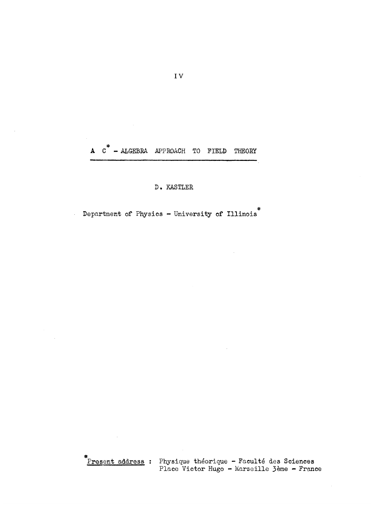$A$   $C^*$  - ALGEBRA APPROACH TO FIELD THEORY

#### D. KASTLER

Department of Physics - University of Illinois<sup>\*</sup>

Present address : Physique théorique - Faculté des Sciences Place Victor Hugo - Marseille 3ème - France

 $\sim$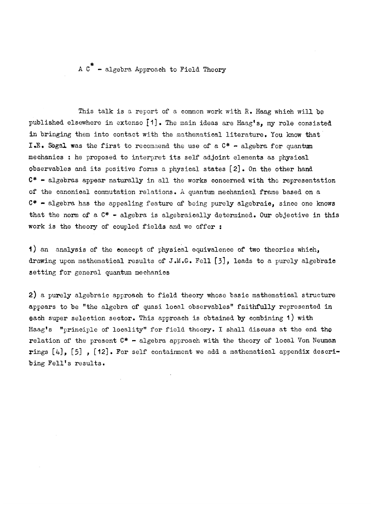A  $C^*$  - algebra Approach to Field Theory

This talk is a report of a common work with  $R_$ . Haag which will be published elsewhere in extenso [1]. The main ideas are Haag's, my role consisted in bringing them into contact with the mathematical literature. You know that I.E. Segal was the first to recommend the use of a  $C^*$  - algebra for quantum mechanics : he proposed to interpret its self adjoint elements as physical Observables and its positive forms a physical states [2]. On the other hand  $C^*$  - algebras appear naturally in all the works concerned with the representation of the canonical commutation relations. A quantum mechanical frame based on a  $C^*$  - algebra has the appealing feature of being purely algebraio, since one knows that the norm of a  $C^*$  - algebra is algebraically determined. Our objective in this work is the theory of coupled fields and we offer :

1) an analysis of the concept of physical equivalence of two theories which, drawing upon mathematical results of J.M.G. Fell [3], leads to a purely algebraic setting for general quantum mechanics

2) a purely algebraic approach to field theory whose basic mathematical structure appears to be "the algebra of quasi local observables" faithfully represented in each super selection sector. This approach is obtained by combining 1) with Haag's "principle of locality" for field theory. I shall discuss at the end the relation of the present  $C^*$  - algebra approach with the theory of local Von Neuman rings [4], [5], [12]. For self containment we add a mathematical appendix describing Fell's results.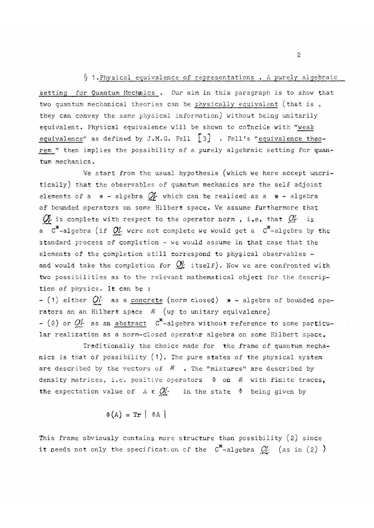#### § 1.Physical equivalence of representations . A purely algebraic

setting for Quantum Mechanics . Our aim in this paragraph is to show that two quantum mechanical theories can be physically equivalent (that is , they can convey the same physical information) without being unitarily equivalent. Physical equivalence will be shown to cofncide with "weak equivalence" as defined by J.M.G. Fell  $\left\lfloor \begin{smallmatrix} 2 \end{smallmatrix} \right\rfloor$  . Fell's "equivalence theorem " then implies the possibility of a purely algebraic setting for quantum mechanics.

We start from the usual hypothesis (which we here accept uncritically) that the observables of quantum mechanics are the self adjoint elements of a  $x - a$ lgebra  $Q$  which can be realised as a  $x - a$ lgebra of bounded operators on some Hilbert space. We assume furthermore that  $\mathcal{O}_{k}$  is complete with respect to the operator norm, i.e. that  $\mathcal{O}_{k}$  is a  $C^*$ -algebra (if  $OL$  were not complete we would get a  $C^*$ -algebra by the standard process of completion - we would assume in that case that the elements of the completion still correspond to physical observables and would take the completion for  $Q_k^f$  itself). Now we are confronted with two possibilities as to the relevant mathematical object for the description of physics. It can be :

- (1) either  $O\ell$  as a concrete (norm closed)  $*$  - algebra of bounded operators on an Hilbert space № (up to unitary equivalence) - (2) or  $OL$  as an abstract  $C^*$ -algebra without reference to some particular realization as a norm-closed operator algebra on some Hilbert space.

Traditionally the choice made for the frame of quantum mechanics is that of possibility  $(1)$ . The pure states of the physical system are described by the vectors of  $\mathcal{B}$  . The "mixtures" are described by density matrices, i.e. positive operators  $\Phi$  on  $\mathcal B$  with finite traces, the expectation value of  $A \in \mathcal{Q}_k^p$  in the state  $\Phi$  being given by

$$
\Phi(A) = \text{Tr} \{ \Phi A \}
$$

This frame obviously contains more structure than possibility (2) since it needs not only the specification of the  $C^*$ -algebra  $Q'$  (as in (2) )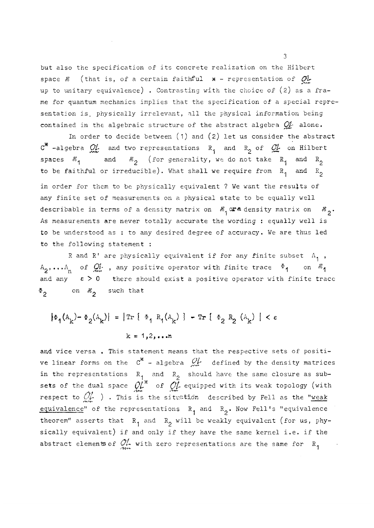but also the specification of its concrete realization on the Hilbert space  $\mathscr B$  (that is, of a certain faithful  $*$  - representation of  $\mathcal O\mathcal L$ up to unitary equivalence) . Contrasting with the choice of (2) as a frame for quantum mechanics implies that the specification of a special representation is, physically irrelevant, all the physical information being contained in the algebraic structure of the abstract algebra *OU* alone.

In order to decide between (1) and (2) let us consider the abstract  $C^*$  -algebra  $\mathcal{Q}'_L$  and two representations  $R^1$  and  $R^2$  of  $\mathcal{Q}'_L$  on Hilbert spaces  $\mathscr{H}_{1}$  and  $\mathscr{H}_{2}$  (for generality, we do not take  $R_{1}$  and  $R_{2}$ to be faithful or irreducible). What shall we require from  $R^1$  and  $R^2$ in order for them to be physically equivalent ? We want the results of any finite set of measurements on a physical state to be equally well describable in terms of a density matrix on  $\mathcal{B}_{1}^{\prime}$  ora density matrix on  $\mathcal{B}_{2}^{\prime}$ . As measurements are never totally accurate the wording : equally well is to be understood as : to any desired degree of accuracy. We are thus led to the following statement :

R and R' are physically equivalent if for any finite subset  $A_{1}$ ,  $A_2$ ,... $A_n$  of  $Q_n^L$ , any positive operator with finite trace  $\Phi_1$  on  $\mathcal{H}_1$ and any  $\varepsilon > 0$  there should exist a positive operator with finite trace  $\Phi$ <sub>2</sub> on  $\mathcal{H}_2$  such that

$$
|\Phi_1(A_k) - \Phi_2(A_k)| = |\text{Tr} \{ \Phi_1 R_1(A_k) \} - \text{Tr} \{ \Phi_2 R_2 (A_k) | < \varepsilon
$$
  
 $k = 1, 2, ...$ 

and vice versa. This statement means that the respective sets of positive linear forms on the  $c^*$  - algebra  $\mathcal{Q}_r^{\prime}$  defined by the density matrices in the representations  $R^{}_4\;$  and  $\;R^{}_2\;$  should have the same closure as subsets of the dual space  $\mathcal{O}\!L^\pi$  of  $\mathcal{O}\!L$  equipped with its weak topology (with respect to  $\mathbb{Q}_r$  ) . This is the situation described by Fell as the "weak equivalence" of the representations  $R_1$  and  $R_2$ . Now Fell's "equivalence theorem" asserts that  $R_1$  and  $R_2$  will be weakly equivalent (for us, physically equivalent) if and only if they have the same kernel i.e. if the abstract elements of  $\frac{\partial L}{\partial m}$  with zero representations are the same for  $R_1$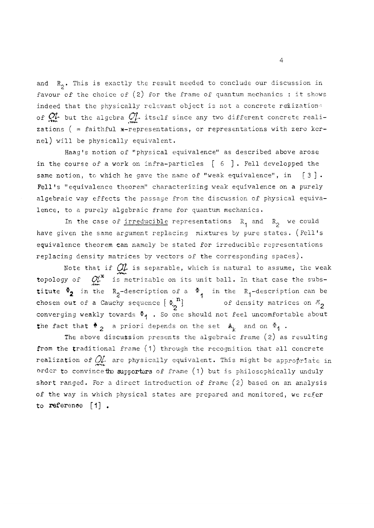and  $R_2$ . This is exactly the result needed to conclude our discussion in favour of the choice of (2) for the frame of quantum mechanics : it shows indeed that the physically relevant object is not a concrete relization. of  $\mathcal{Q}_m^1$  but the algebra  $\mathcal{Q}_m^1$  itself since any two different concrete realizations ( = faithful  $*-representations$ , or representations with zero kernel) will be physically equivalent.

Haag's notion of "physical equivalence" as described above arose in the course of a work on infra-particles [ 6 ] . Fell developped the same notion, to which he gave the name of "weak equivalence", in  $\lceil 3 \rceil$ . Fell's "equivalence theorem" characterizing weak equivalence on a purely algebraic way effects the passage from the discussion of physical equivalence, to a purely algebraic frame for quantum mechanics.

In the case of irreducible representations  $R^1$  and  $R^2$  we could have given the same argument replacing mixtures by pure states. (Fell's equivalence theorem can namely be stated for irreducible representations replacing density matrices by vectors of the corresponding spaces).

Note that if  $Q_L$  is separable, which is natural to assume, the weak topology of  $\mathcal{O}_{\mathcal{C}}^{\prime*}$  is metrizable on its unit ball. In that case the substitute  $\Phi_2$  in the R<sub>2</sub>-description of a  $\Phi_1$  in the R<sub>1</sub>-description can be chosen out of a Cauchy sequence  $\begin{Bmatrix} \Phi_2^{\{n\}} \end{Bmatrix}$ of density matrices on  ${}^{\mathcal{B}}_2$ converging weakly towards  $\Phi$ <sub>1</sub>. So one should not feel uncomfortable about the fact that  $\Phi_2$  a priori depends on the set  $A_k$  and on  $\Phi_1$ .

The above discussion presents the algebraic frame  $(2)$  as resulting from the traditional frame (1) through the recognition that all concrete realization of  $O\mathcal{L}$  are physically equivalent. This might be appropriate in order to convince the supporters of frame (1) but is philosophically unduly short ranged. For a direct introduction of frame (2) based on an analysis of the way in which physical states are prepared and monitored, we refer to reference [1].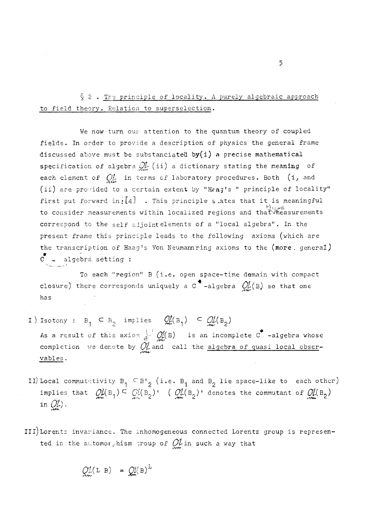§ 2. The principle of locality. A purely algebraic approach to field theory. Relation to superselection.

We now turn our attention to the quantum theory of coupled fields. In order to provide a description of physics the general frame discussed above must be substanciated by(i) a precise mathematical specification of algebra  $\mathcal{Q}_{\mathcal{L}}(i)$  a dictionary stating the meaning of each element of  $\mathcal{O}_{\mathcal{U}}$  in terms of laboratory procedures. Both (i, and (ii) are provided to a certain extent by "H?ag's <sup>M</sup> principle of locality" first put forward in;  $[4]$  . This principle s ates that it is meaningful to consider measurements within localized regions and that measurements correspond to the self adjointelements of a "local algebra". In the present frame this principle leads to the following axioms (which are the transcription of Haag's Von Neumannring axioms to the (more, general)  $C -$  algebra setting :

To each "region" B (i.e. open space-time demain with compact closure) there corresponds uniquely a C\* -algebra *01(B)* so that one has

- I) Isotony :  $B_1 \subseteq B_2$  implies  $\mathcal{Q}_m^f(B_1) \subseteq \mathcal{Q}_m^f(B_2)$ As a result of this axiom  $\frac{1}{B}$   $\frac{1}{B}$  (B) is an incomplete C<sup>\*</sup> -algebra whose completion we denote by  $\mathcal{Q}'_k$  and call the algebra of quasi local observables.
- II) Local commutativity  $\mathtt{B}^-_\mathtt{1} \subseteq \mathtt{B}^+_\mathtt{2}$  (i.e.  $\mathtt{B}^-_\mathtt{1}$  and  $\mathtt{B}^-_\mathtt{2}$  lie space-like to each other) implies that  $Q\mathcal{U}(B_1) \subseteq C\mathcal{U}(B_2)$ ! ( $Q\mathcal{U}(B_2)$ ! denotes the commutant of  $Q\mathcal{U}(B_2)$ ) in  $\mathcal{O}_r$ ).
- III) Lorentz invariance. The inhomogeneous connected Lorentz group is represented in the automorphism 7roup of *Qh* in such a way that

 $Q^{\gamma}$ (LB) =  $Q^{\gamma}$ (B)<sup>L</sup>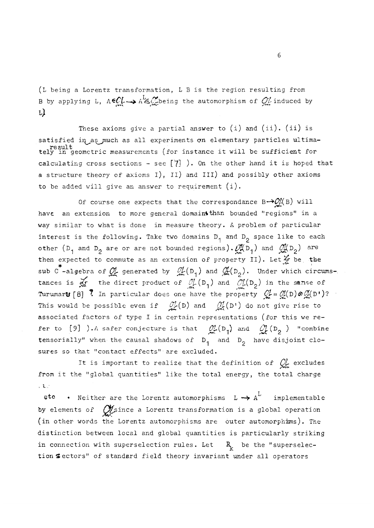(L being a Lorentz transformation, L B is the region resulting from B by applying L,  $A \in \mathbb{C}$   $\rightarrow$   $A^L \in \mathbb{C}$  being the automorphism of  $\mathbb{C}$  induced by L)

These axioms give a partial answer to  $(i)$  and  $(ii)$ .  $(ii)$  is satisfied in as much as all experiments on elementary particles ultimaresult , . . tely in geometric measurements (for instance it will be sufficient for calculating cross sections - see  $[7]$  ). On the other hand it is hoped that a structure theory of axioms i), Ii) and III) and possibly other axioms to be added will give an answer to requirement (i).

Of course one expects that the correspondance  $B\rightarrow O_{k}^{N}(B)$  will have an extension to more general domaint than bounded "regions" in a way similar to what is done in measure theory. A problem of particular interest is the following. Take two domains  $D_1$  and  $D_2$  space like to each other ( $D_1$  and  $D_2$  are or are not bounded regions).  $\mathcal{M}_{1}D_1$  and  $\mathcal{M}_{2}(D_2)$  are then expected to commute as an extension of property Ii). *Let* be the sub C<sup>\*</sup>-algebra of  $\mathcal{Q}'_k$  generated by  $-\mathcal{Q}'_k(\mathsf{D}_1)$  and  $\mathcal{Q}'_r(\mathsf{D}_2)$ . Under which circumstances is  $\overline{dx}$  the direct product of  $\overline{dx}$ (D<sub>1</sub>) and  $\overline{dx}$ (D<sub>2</sub>) in the sense of Turumar**u** [8] ? In particular does one have the property  $Q'_r = Q'_r(D) \otimes Q'_r(D^*)$ ? This would be possible even if  $\mathcal{O}_{\mathcal{L}}^{1}(D)$  and  $\mathcal{O}_{\mathcal{L}}^{1}(D^{1})$  do not give rise to associated factors of type I in certain representations (for this we refer to [9] ). A safer conjecture is that  $\mathcal{Q}_\mu^1(D_1)$  and  $\mathcal{Q}_\mu^1(D_2)$  "combine tensorially" when the causal shadows of  $D_1$  and  $D_2$  have disjoint closures so that "contact effects" are excluded.

It is important to realize that the definition of  $Q'_k$  excludes from it the "global quantities" like the total energy, the total charge from it the "global quantities" like the total energy, the total charge

etc • Neither are the Lorentz automorphisms  $L \rightarrow A^L$  implementable by elements of  $\mathcal{O}_k^j$ since a Lorentz transformation is a global operation (in other words the Lorentz automorphisms are outer automorphisms). The distinction between local and global quantities is particularly striking in connection with superselection rules. Let  $R^k_k$  be the "superselection Sectors" of standard field theory invariant under all operators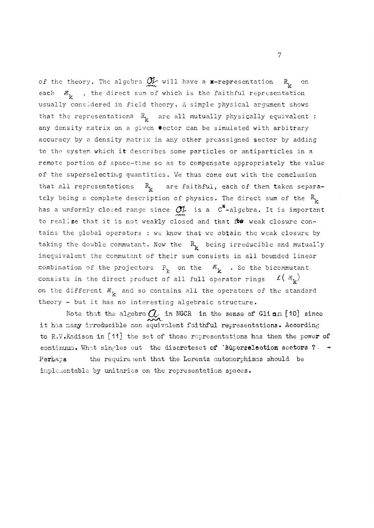of the theory. The algebra  $\mathcal{Q}_{\mathcal{H}}$  will have a  $\ast$ -representation  $R_{\mathbf{k}}$  on each.  $\mathcal{B}_{1r}$ , the direct sum of which is the faithful representation usually considered in field theory. A simple physical argument shows that the representations  $R^2_k$  are all mutually physically equivalent : any density matrix on a given sector can be simulated with arbitrary accuracy by a density matrix in any other preassigned sector by adding to the system which it describes some particles or antiparticles in a remote portion of space-time so as to compensate appropriately the value of the superselecting quantities. We thus come out with the conclusion that all representations  $R^k_k$  are faithful, each of them taken separately being a complete description of physics. The direct sum of the  $R_{k}$ has a umformly closed range since  $\mathcal{O}_{L}^{t}$  is a  $C^{*}$ -algebra. It is important to realize that it is not weakly closed and that its weak closure contains the global operators : we know that we obtain the weak closure by taking the double commutant. Now the  $R^{\text{}}_k$  being irreducible and mutually inequivalent the commutant of their sum consists in all bounded linear combination of the projectors  $P_k$  on the  $\mathcal{B}_k$  . So the bicommutant consists in the direct product of all full operator rings  $\ell(\mathcal{B}_{k})$ on the different  $\mathcal{B}_k$  and so contains all the operators of the standard theory - but it has no interesting algebraic structure.

Note that the algebra  $\alpha$  in NGCR in the sense of Glinn [10] since it has many irreducible non equivalent faithful representations. According to R.V.Kadison in [11] the set of those representations has then the power of continuum. What singles out the discreteset of 'Bupergeleotion sectors ?'  $\rightarrow$ Perhaps the requirement that the Lorentz automorphisms should be implementable by unitaries on the representation spaces.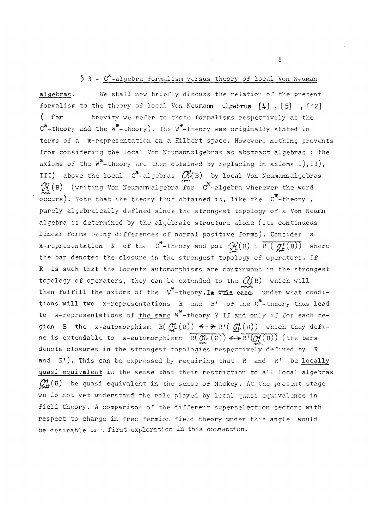## $§ 3 - C^*$ -algebra formalism versus theory of local Von Neuman

algebras. We shall now briefly discuss the relation of the present formalism to the theory of local Von Neumann algebras  $[4]$  ,  $[5]$  ,  $[12]$ ( for brevity we refer to those formalisms respectively as the  $C^*$ -theory and the  $W^*$ -theory). The  $W^*$ -theory was originally stated in terms of a \*-representation on a Hilbert space. However, nothing prevents from considering the local Von Neumannalgebras as abstract algebras : the axioms of the  $w^*$ -theory are then obtained by replacing in axioms I), II), III) above the local  $C^*$ -algebras  $\mathcal{O}_k^{\mathcal{U}}(B)$  by local Von Neumann algebras  $\mathcal{R}(\mathbf{B})$  (writing Von Neumannalgebra for  $\mathbf{C}^*$ -algebra wherever the word occurs). Note that the theory thus obtained is, like the  $C^*$ -theory, purely algebraically defined since the strongest topology of a Von Neumn algebra is determined by the algebraic structure alone (its continuous linear forms being differences of normal positive forms). Consider a **\*-representation** R of the C<sup>\*</sup>-theory and put  $\mathcal{R}(B) = \overline{R(gL(B))}$  where the bar denotes the closure in the strongest topology of operators. If R is such that the Lorentz automorphisms are continuous in the strongest topology of operators, they can be extended to the  $Q(B)$  which will then fulfill the axioms of the  $W^*$ -theory. In  $\forall x$  case, under what conditions will two x-representations R and R' of the  $\sigma^*$ -theory thus lead to \*-representations of the same  $W^*$ -theory ? If and only if for each re-«  $t_{\rm s}$  is an extent at the same W  $\frac{M}{M}$  (s)) if  $\frac{N}{M}$  (s)) which respects the same  $\frac{M}{M}$ ne is extendable to  $x$ -automorphisms  $R(\partial U(B)) \leftrightarrow R'(\partial U(B))$  (the bars ne is the issue of an  $\mathcal{A}$  and  $\mathcal{A}$   $\mathcal{A}$  ( $\mathcal{A}$ ) is a proportional definition of  $\mathcal{A}$ denote closures in the strongest topologies respectively defined by R and  $R'$ ). This can be expressed by requiring that  $R$  and  $R'$  be <u>locally</u> quasi equivalent in the sense that their restriction to all local algebras and Represent and the sense that the requirement to and require anyone  $\frac{1}{2}$ we do not yet understand the role played by local quasi equivalence in field theory. A comparison of the different superselection sectors with respect to charge in free fermion field theory under this angle would be desirable as a first exploration in this connection.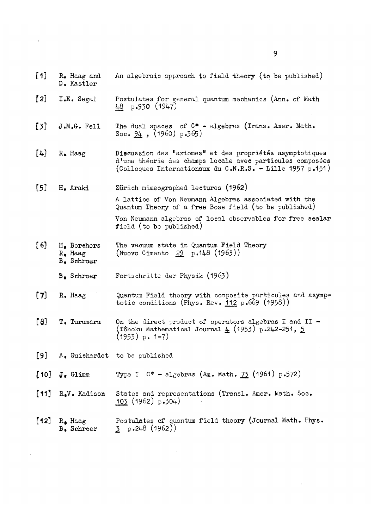- [1] R. Haag and An algebraic approach to field theory (to be published) D. Kastler
- [2] I.E. Segal Postulates for general quantum mechanics (Ann. of Math 48 p.930 (1947)
- [3]  $J.M.G.$  Fell The dual spaces of  $C*$  algebras (Trans. Amer. Math. Soc. 94 *,* (I960) p.365)
- [4] R. Haag Discussion des "axiomes" et des propriétés asymptotiques d'une théorie des champs locale avec particules composées (Colloques Internationaux du C.N.R.S. - Lille 1957 p.151)
- [5] H. Araki Zurich mimeographed lectures (1962)

A lattice of Von Neumann Algebras associated with the Quantum Theory of a free Bose field (to be published)

Von Neumann algebras of local observables for free scalar field (to be published)

- [ 6 ] H. Borehers The vacuum state in Quantum Field Theory R. Haag (Nuovo Cimento 29 p.148 (1963))
	- B. Schroer
	- B. Schroer Fortschritte der Physik (1963)
- [7] R. Haag Quantum Field theory with composite particules and asymptotic conditions (Phys. Rev.  $112 p.669$  (1958))
- [8] T. Turumaru On the direct product of operators algebras I and II (Tôhoku Mathematical Journal  $\underline{4}$  (1953) p.242-251, 5  $(1953)$  p. 1-7)
- [9] A. Guichardet to be published
- [10]  $J_e$  Glimm Type I C\* algebras (Am. Math. 73 (1961) p.572)
- [11] R.V. Kadison States and representations (Transl. Amer. Math. Soc.  $103$  (1962) p.304)
- [12]  $R_{\bullet}$  Haag Postulates of quantum field theory (Journal Math. Phys.<br>B. Schroer  $\qquad$  3  $p.248$  (1962))  $\text{5} \text{ p.248 (1962)}$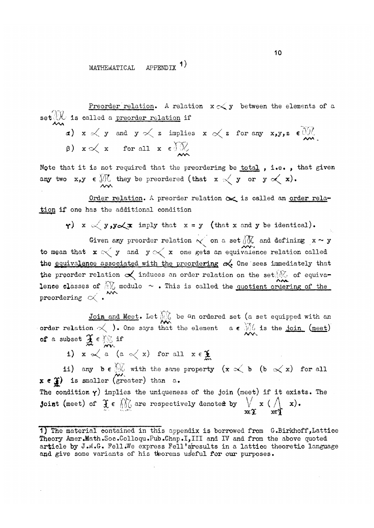#### MATHEMATICAL APPENDTX<sup>1)</sup>

Preorder relation. A relation  $\mathbf{x} \propto \mathbf{y}$  between the elements of a  $\mathbf{s}\in\mathbb{C}\mathcal{H}$  is called a <u>preorder relation</u> if Алл

 $\alpha$ )  $x \ll y$  and  $y \ll z$  implies  $x \ll z$  for any  $x, y, z \in \mathbb{R}$ (3)  $x \propto x$  for all  $x \in \partial \mathbb{R}$ 

Note that it is not required that the preordering be total, i.e., that given any two  $x,y \in \mathcal{M}$  they be preordered (that  $x \leq y$  or  $y \leq x$ ).

Order relation. A preorder relation  $\infty$  is called an order relation if one has the additional condition

 $\gamma$ ) x  $\ll$  y, y  $\ll$  x imply that x = y (that x and y be identical).

Given any preorder relation  $\lt \circ$  on a set  $\widetilde{M}$  and defining  $x \sim y$ to mean that  $x \propto y$  and  $y \propto x$  one gets an equivalence relation called the equivalence associated with the preordering  $\alpha$  One sees immediately that the preorder relation  $\propto$  induces an order relation on the set/ $\mathcal{N}_{\text{c}}$  of equivalence classes of  $\bigcirc$  modulo  $\sim$ . This is called the quotient ordering of the preordering  $\propto$  .  $^{\star\star\star}$ 

Join and Meet. Let  $\Diamond\Diamond$  be <sup>a</sup>n ordered set (a set equipped with an order relation,  $\prec$  ). One says that the element  $a \in \mathbb{N}$  is the <u>join (meet</u>) of a subset  $\mathbf{A} \in \mathbb{N}$  if /пл.

i)  $x \propto a$  (a  $\lt x$ ) for all  $x \in \mathcal{X}$ 

ii) any  $b \in \mathbb{C}$  with the same property (x  $\propto$  b (b  $\propto$  x) for all  $\lambda \in \mathcal{H}$  to smarter (greater) than  $\alpha$ . The condition  $\gamma$ ) implies the uniqueness of the join (meet) if it exists. The Joint (meet) of  $f \in \text{MO}$  are respectively denote a by  $\forall x \in \text{MO}$  x).  $x \in \mathbb{R}$ 

<sup>1)</sup> The material contained in this appendix is borrowed from G.Birkhoff, Lattice Theory Amer.Math.Soc.Colloqu.Pub.Chap.I,III and IV and from the above quoted article by J.M.G. Fell.We express Fell'sresults in a lattice theoretic language and give some variants of his theorems useful for our purposes.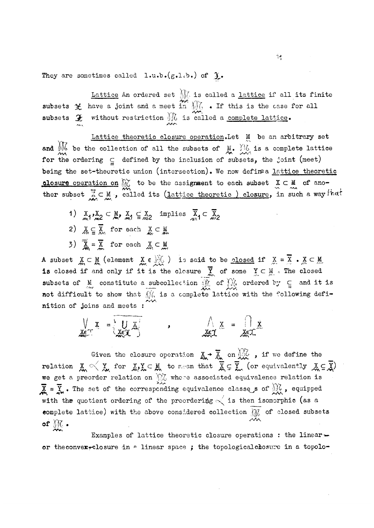They are sometimes called  $1.u.b.(g.1.b.)$  of  $J.$ 

Lattice An ordered set  $\frac{1}{2}$  is called a <u>lattice</u> if all its finite subsets  $\mathcal X$  have a joint and a meet in  $\mathcal M_0$  . If this is the case for all subsets  $\mathcal{F}$  without restriction  $\mathcal{W}$  is called a <u>complete lattice</u>.

Lattice theoretic closure operation.Let M be an arbitrary set and  $\emptyset\emptyset$  be the collection of all the subsets of M.  $\emptyset\emptyset$  is a complete lattice for the ordering  $C$  defined by the inclusion of subsets, the joint (meet) being the set-theoretic union (intersection). We now defire a lattice theoretic closure operation on  $\mathbb{M}$  to be the assignment to each subset  $X \subset M$  of another subset  $\mathbb{X} \subset \mathbb{M}$  , called its (lattice theoretic ) closure, in such a way indi

- 1)  $X_1, X_2 \subset M$ ,  $X_1 \subseteq X_2$  implies  $\overline{X}_1 \subset \overline{X}_2$
- 2)  $X \subseteq \overline{X}$  for each  $X \subseteq M$
- 3)  $\overline{X} = \overline{X}$  for each  $X \subset M$

A subset  $X \subset M$  (element  $X \in \mathcal{Y}(G)$  is said to be closed if  $X = X \cdot X \subset M$ is closed if and only if it is the closure  $\bm{\mathsf{Y}}$  of some  $\bm{\mathsf{Y}}\subset\bm{\mathsf{M}}$  . The closed subsets of M constitute a subcollection  $\hat{y}$  of  $\hat{y}$ , ordered by  $\subseteq$  and it is not different to them that  $\hat{y}'$  is a serminary left and it is not different to the serminary define not difficult to show that  $\frac{1}{2}$ , is a complete lattice with the following defi-\* nition of joins and meets :

$$
\frac{1}{x} \sum_{x=1}^{x} x = \frac{1}{x} \sum_{x=1}^{x} x
$$

Given the closure operation  $X \rightarrow X$  on  $\mathcal{U}_\mathcal{L}$  , if we define the  $r$ elation  $X \leqslant Y$  for  $X, Y \in M$  to mean that  $X \subseteq Y$  (or equivalently  $X \subseteq Y$ ) we get a preorder relation on  $\mathbb{M}$  whose associated equivalence relation is  $\overline{X} = \overline{Y}$ . The set of the corresponding equivalence classes of  $\frac{1}{2}$ , equipped with the quotient ordering of the preordering  $\sim$  is then isomorphic (as a complete lattice) with the above considered collection  $\mathcal{M}$  of closed subsets *of*  $\frac{1}{2}$ .

Examples of lattice theoretic closure operations : the linear  $\rightarrow$ or the convex-closure in  $*$  linear space ; the topological closure in a topolo-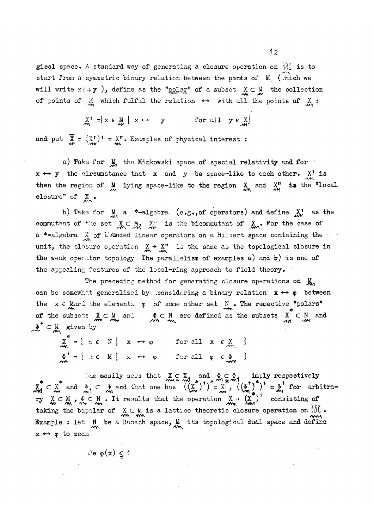gical space. A standard way of generating a closure operation on  $\mathcal{W}_0$  is to start from a symmetric binary relation between the points of  $M_{\textrm{c}}$  (which we will write  $x \leftrightarrow y$  ), define as the "polar" of a subset  $X \subset M$  the collection of points of  $\stackrel{M}{\leadsto}$  which fulfil the relation  $\leftrightarrow$  with all the points of  $\stackrel{X}{\leadsto}$  :

$$
\underset{m}{X}^{\prime} = \{ x \in \underset{m}{M} \mid x \leftrightarrow y \quad \text{for all } y \in \underset{m}{X} \}
$$

and put  $X = (X')' = X''$ . Examples of physical interest :

a) Take for  $M$ , the Minkowski space of special relativity and for  $x \leftrightarrow y$  the circumstance that x and y be space-like to each other.  $X'$  is then the region of  $M_{\text{av}}$  lying space-like to the region  $\frac{X}{2M}$  and  $\frac{X''}{M'}$  is the "local olosure" of  $X_{\bullet}$ .

b) Take for  $M_{\text{max}}$  a \*-algebra (e.g., of operators) and define  $X^{\text{I}}$  as the commutant of the set  $X \subset M$ .  $X^n$  is the bicommutant of  $X_n$ . For the case of a \*-algebra  $\frac{X}{M}$  of U) unded linear operators on a Hilbert space containing the unit, the closure operation  $X \rightarrow X''$  is the same as the topological closure in the weak operator topology. The parallelism of examples a) and  $b$ ) is one of the appealing features of the local-ring approach to field theory.

The preceding method for generating closure operations on  $M_{\star}$ can be somewhat generalized by considering a binary relation  $x \leftrightarrow \varphi$  between the  $x \in$  Mand the elements on of some other set  $N$  . The repective "polars" of the subsets  $X \subset M$  and  $\phi \subset N$  are defined as the subsets  $X \subset N$  and  $\delta$ <sup>+</sup>  $\subset$  N and  $\sigma$  by  $\begin{array}{c} \begin{array}{c} \text{if } \mathbf{w} \\ \text{if } \mathbf{w} \end{array} \end{array}$ 

 $\mathcal{X} = \{ \varphi \in \mathbb{N} \mid X \leftrightarrow \varphi \text{ for all } X \in \mathcal{Y} \}$  $\Phi^T = \{ x \in M \mid x \leftrightarrow \phi \text{ for all } \phi \in \Phi \}$ 

One easily sees that  $X \subset X$ , and  $\Phi \subset \Phi$ , imply respectively  $X_i \subset X$  and  $\Sigma_i \subset \mathcal{L}$  and that one has  $((X_i)') = X$ ,  $((\mathcal{L}^*)')' = \mathcal{L}$  for arbitrary  $X \subseteq M$ ,  $A \subseteq N$ . It results that the operation  $X \rightarrow (X')$  consisting of taking the bipolar of X c M is a lattice theoretic closure operation on *QOL •*  Example : let  $N$  be a Banach space,  $M$  its topological dual space and define  $x \leftrightarrow \varphi$  to mean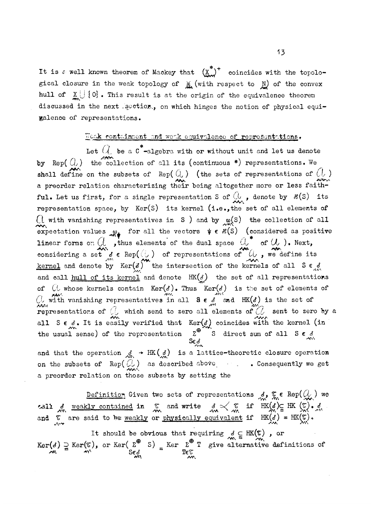It is a well known theorem of Mackey that  $(\underline{x}^*)^+$  coincides with the topological closure in the weak topology of  $M_{\bullet}$  (with respect to  $N_{\bullet}$ ) of the convex hull of  $X \cup \{0\}$ . This result is at the origin of the equivalence theorem discussed in the next .section., on which hinges the notion of physical equivalence of representations.

### Weak containment and work equivalence of representations.

Let  $Q$  be a  $c^*$ -algebra with or without unit and let us denote by Rep( $Q$ ) the collection of all its (continuous \*) representations. We shall define on the subsets of Rep( $Q$ ) (the sets of representations of  $Q$ ) a preorder relation characterizing their being altogether more or less faithful. Let us first, for a single representation S of  $\mathbb{Q}_q$ , denote by  $\mathcal{E}(S)$  its representation space, by  $Ker(S)$  its kernel (i.e., the set of all elements of  $\bigcap_{n=0}^{\infty}$  with vanishing representatives in S ) and by  $\chi_n(s)$  the collection of all  $\mathcal{M}$ <br>crootetion values in S or all the vectors  $\mathcal{U} \in \mathcal{P}(S)$  (considered as positive expectation values of the vectors  $\int_{r}^{*}$  of  $\int_{r}^{*}$  of  $\int_{r}^{*}$  of  $\int_{r}^{*}$  (i) Novt  $\frac{1}{\sqrt{N}}$ considering a set i € Rep((. 0 ) of representations of Uj , we define its  $k$  $\frac{100 \text{ m/s}}{40}$  and  $\frac{100 \text{ m/s}}{40}$  and  $\frac{100 \text{ m/s}}{40}$  and  $\frac{100 \text{ m/s}}{40}$  $\alpha$  and denote the set of all representations  $\alpha$  and  $\alpha$  representations  $\alpha$  $\frac{1}{2}$  whose kernels contained to probabilities in the set of elements  $\frac{1}{2}$ City with value of SCI six of CO set of Constant of Set of Set of Set of Set of Set of Set of Set of Set of Set of Set of Set of Set of Set of Set of Set of Set of Set of Set of Set of Set of Set of Set of Set of Set of Se  $\mathbb{R}$  by a sensor which see the constant to  $\mathbb{R}$  send to  $\mathbb{R}$  send the sensor  $\mathbb{R}$ . all  $\frac{1}{\sqrt{N}}$ and that the operation  $\mathcal{A} \to \text{HK(A)}$  is a lattice-theoretic closure operat

 $\frac{1}{2}$ and the operation  $\mathcal{L} = \mathcal{L} \mathcal{L}$  and  $\mathcal{L} = \mathcal{L} \mathcal{L} \mathcal{L}$ a preorder relation on those subsets by setting the

Definition Given two sets of representation By contained in  $\pi$  and write  $d \propto \pi$  if HK(d)c HK ( $\sigma$ ).  $\delta$ and  $\tilde{\kappa}$  are said to be weakly or physically equivalent if  $HK(d)$  =  $HK(\tilde{\kappa})$ .

and are said to weakly or physically equivalent if  $\mathcal{L}(\mathcal{A})$  =  $\mathcal{L}(\mathcal{A})$ It should be obvious that requiring  $\tilde{m} = m$  ,  $\tilde{m}$  $x_0 = \frac{4N}{N}$  Sed  $\frac{8e}{N}$  =  $\frac{1}{2}$  exceptions of  $\frac{1}{2}$  exceptions of  $\frac{1}{2}$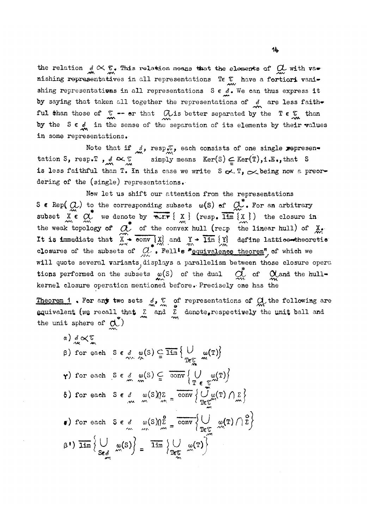the relation  $S \propto \mathbb{C}$ . This relation means that the elements of  $C \subset \mathbb{C}$  with va $\bullet$ nishing representatives in all representations Te  $\frac{v}{\lambda w}$  have a fortiori vanishing representatives in all representations  $S \in \mathcal{A}$ . We can thus express it by saying that taken all together the representations of  $\frac{d}{dx}$  are less faithful than those of  $\frac{C}{m}$  -- or that  $\frac{C}{m}$  is better separated by the  $T \in \frac{C}{m}$  than by the S  $\epsilon$   $\frac{d}{dx}$  in the sense of the separation of its elements by their values in some representations.

in some representations.  $n \in \mathbb{R}$ , d  $\infty$   $\mathbb{R}$  simply means  $\text{Ker}(S) \subset \text{Ker}(\mathbb{T})$ , i.e., that S is less faithful than T. In this case we write  $S \propto T$ ,  $\propto$  being now a preordering of the (single) representations.

Now let us shift our attention from the representations to the corresponding subsets  $n(S)$  of  $G$ . For an arbit subset  $X \in \mathbb{C}$ , we denote by  $\overline{R_{X}^{*}} \{ X \}$  ( $\overline{R_{S}} \{ X \}$ ) the closure in  $\begin{array}{ccc} \mathbf{m} & \mathbf{m} & \mathbf{w} \\ \mathbf{m} & \mathbf{m} & \mathbf{w} & \mathbf{m} \end{array}$ <br>the weak topology of  $\mathcal{A}$  of the convex bull (resp. the linear bull) of X Tt is immediate that  $\widetilde{X}$  only  $\widetilde{X}$  and  $\widetilde{Y}$  alim  $\widetilde{Y}$ , define latticentheoretic It is immediate that X conv *\j\* and Y lim {Y] define lattioe<\*bheoretie closure of the sexeral variants displays a parallelism between those closure of tions performed on the subsets  $\omega(S)$  of the dual  $\sum_{i=1}^{n}$  of  $\alpha$  and the bullkernel closure operation mentioned before. Precisely one has the

kernel closure operation mentioned before.-Precisely one has the Theorem **1 c** any two sets  $\theta$ <sup>9</sup>  $\theta$  or representations of  $\theta$  and the rorrowing are equivalent (we recall that  $\frac{1}{m}$  and  $\frac{1}{m}$  denote. respectively the unit ball and the unit sphere of  $\alpha^*$ )

a) 
$$
\frac{d}{dx} \propto \frac{\sigma}{m}
$$
  
\nb) for each  $S \in \mathcal{S}$   $\omega(S) \subseteq \overline{\lim} \{ \frac{1}{T \epsilon_{\infty}^{C}} \omega(T) \}$   
\n $\gamma$ ) for each  $S \in \mathcal{S}$   $\omega(S) \subseteq \overline{\mathrm{conv}} \{ \frac{1}{T \epsilon_{\infty}^{C}} \omega(T) \}$   
\n $\delta$ ) for each  $S \in \mathcal{S}$   $\omega(S) \sqrt{2} = \overline{\mathrm{conv}} \{ \frac{1}{T \epsilon_{\infty}^{C}} \omega(T) \} \sum_{m} \}$   
\n $\epsilon$ ) for each  $S \in \mathcal{S}$   $\omega(S) \sqrt{2} = \overline{\mathrm{conv}} \{ \frac{1}{T \epsilon_{\infty}^{C}} \omega(T) \} \sum_{m} \}$   
\n $\epsilon$ ) for each  $S \in \mathcal{S}$   $\omega(S) \sqrt{2} = \overline{\mathrm{conv}} \{ \frac{1}{T \epsilon_{\infty}^{C}} \omega(T) \} \}$   
\n $\beta$ )  $\overline{\lim} \{ \frac{1}{S \epsilon_{\infty}^{C}} \omega(S) \} = \overline{\lim} \{ \frac{1}{T \epsilon_{\infty}^{C}} \omega(T) \} \}$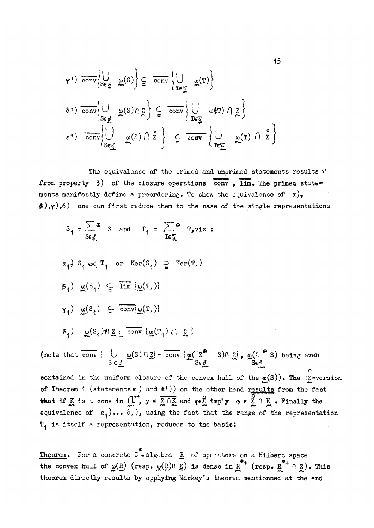$$
\gamma^{\dagger}) \overline{\text{conv}}\left\{\bigcup_{S \in \mathcal{L}} \omega(S)\right\} \subseteq \overline{\text{conv}}\left\{\bigcup_{T \in \mathcal{L}} \omega(T)\right\}
$$
  
\n
$$
\delta^{\dagger}) \overline{\text{conv}}\left\{\bigcup_{S \in \mathcal{L}} \omega(S) \cap \Sigma\right\} \subseteq \overline{\text{conv}}\left\{\bigcup_{T \in \mathcal{L}} \omega(T) \cap \Sigma\right\}
$$
  
\n
$$
\epsilon^{\dagger}) \overline{\text{conv}}\left\{\bigcup_{S \in \mathcal{L}} \omega(S) \cap \Sigma\right\} \subseteq \overline{\text{conv}}\left\{\bigcup_{T \in \mathcal{L}} \omega(T) \cap \Sigma\right\}
$$

The equivalence of the primed and unprimed statements results  $\mathcal{V}$ from property  $3$ ) of the closure operations conv,  $\overline{lim}$ . The primed statements manifestly define a preordering. To show the equivalence of  $\alpha$ ),  $(\beta)$ , $\gamma$ ), $\delta$ ) one can first reduce them to the case of the single representations

$$
S_1 = \frac{\sum \theta}{\sum \theta} \quad S \quad \text{and} \quad T_1 = \frac{\sum \theta}{\sum \theta} \quad T_y \text{viz} \quad :
$$

$$
\alpha_1^3 S_1 \propto T_1 \text{ or } \ker(S_1) \supseteq \ker(T_1)
$$
  
\n
$$
\beta_1) \underline{\omega}(S_1) \subseteq \overline{\lim} {\{\underline{\omega}(T_1)\}}
$$
  
\n
$$
\gamma_1) \underline{\omega}(S_1) \subseteq \overline{\text{conv}}{\{\underline{\omega}(T_1)\}}
$$
  
\n
$$
\epsilon_1) \underline{\omega}(S_1) \underline{\Sigma} \subseteq \overline{\text{conv}} {\{\underline{\omega}(T_1) \cap \Sigma\}}
$$

(note that conv  $\{ U \mid \omega(S) \cap \Sigma \} = \text{conv } \{ \omega(\Sigma^{\bullet} \mid S) \cap \Sigma \}$ ,  $\omega(\Sigma^{\bullet} \mid S)$  being even  $S \in \mathcal{E}$   $S \in \mathcal{E}$   $S \in \mathcal{E}$  $~\sim$  0  $~\sim$  0  $~$ contained in the uniform closure of the convex hull of the  $\omega(S)$ ). The  $\Sigma$ -version of Theorem 1 (statements  $\epsilon$  ) and  $\langle t^{\dagger} \rangle$  ) on the other hand results from the fact that if K is a cone in  $\mathbb{C}^n$ ,  $y \in \Sigma \cap K$  and  $\varphi \in \Sigma$  imply  $\varphi \in \Sigma \cap K$  . Finally the equivalence of  $\alpha$ <sub>1</sub>)...  $\delta$ <sub>1</sub>), using the fact that the range of the representation  $T<sub>1</sub>$  is itself a representation, reduces to the basic:

**Theorem.** For a concrete  $C^*$ -algebra  $R$  of operators on a Hilbert space the convex hull of  $\omega(R)$  (resp.  $\omega(R)$ n  $\Sigma$ ) is dense in  $R^{*+}$  (resp.  $R^{*+}$ n  $\Sigma$ ). This theorem directly results by applying Mackey's theorem mentionned at the end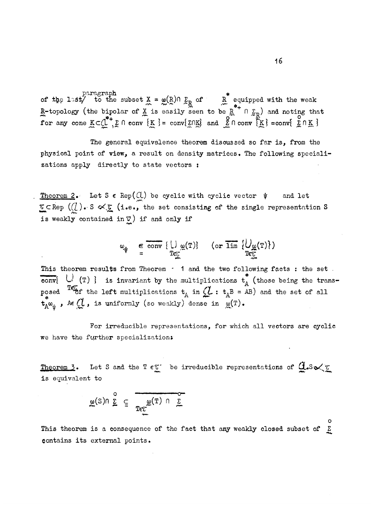$\text{pargraph}$   $\longrightarrow$ of the last/ to the subset  $X = \omega(R) \cap \Sigma_R$  of R equipped with the weak R-topology (the bipolar of X is easily seen to be R  $n \Sigma_{\rm p}$ ) and noting that for any cone  $K\subset\mathbb{C}^{\top}, \Sigma\cap$  conv  $\{K\}$  = conv $\{\Sigma\cap K\}$  and  $\tilde{\Sigma}\cap$  conv $\{\tilde{K}\}$  =conv $\{\Sigma\cap K\}$ 

The general equivalence theorem discussed so far is, from the physical point of view, a result on density matrices. The following specializations apply directly to state vectors :

Theorem 2. Let S  $\epsilon$  Rep( $\mathcal{U}$ ) be cyclic with cyclic vector  $\psi$  and let 7cRep *(Cl)m'S o^X* (i»e»> the set consisting of the single representation S  $\overline{\textbf{i}}$  s weakly  $\overline{\textbf{c}}$ is weakly contained *±nV)* if and only if

$$
\omega_{\psi} \in \overline{\text{conv}} \{\downarrow\} \omega(\mathbf{T}) \} \quad (\text{or } \overline{\text{lim}} \{\downarrow\} \omega(\mathbf{T})\})
$$

This theorem results from Theorem  $\cdot$  1 and the two following facts : the set . convi  $U$  (T) } is invariant by the multiplications  $t^{\prime}_{\Lambda}$  (those being the transposed  $\sim$  f the left multiplications  $t_{A}$  in (L :  $t_{A}B = AB$ ) and the set of all  $t_{A}^{*}\omega_{w}$ , Ae $\mathcal{Q}$ , is uniformly (so weakly) dense in  $\omega(T)$ .

For irreducible representations, for which all vectors are cyclic we have the further specialization:

Theorem 3. Let S and the T  $\epsilon \mathbb{C}$  be irreducible representations of  $Q.s \propto \mathbb{C}$ is equivalent to

$$
\underline{\omega}(S)\cap \sum_{\Sigma}^{\circ} \subseteq \overbrace{\mathbb{T}\in \underline{\mathbb{C}}^{\mathbb{C}}(\mathbb{T}) \cap \underline{\Sigma}}^{\mathbb{C}^{\mathbb{C}}(\mathbb{T}) \cap \underline{\Sigma}}
$$

 $X = \sum_{i=1}^{N} X_i$  with  $X_i = \sum_{i=1}^{N} X_i$  with  $X_i = \sum_{i=1}^{N} X_i$ 

This theorem is a consequence of the fact that any weakly closed subset of  $\Sigma$ contains its external points.

o